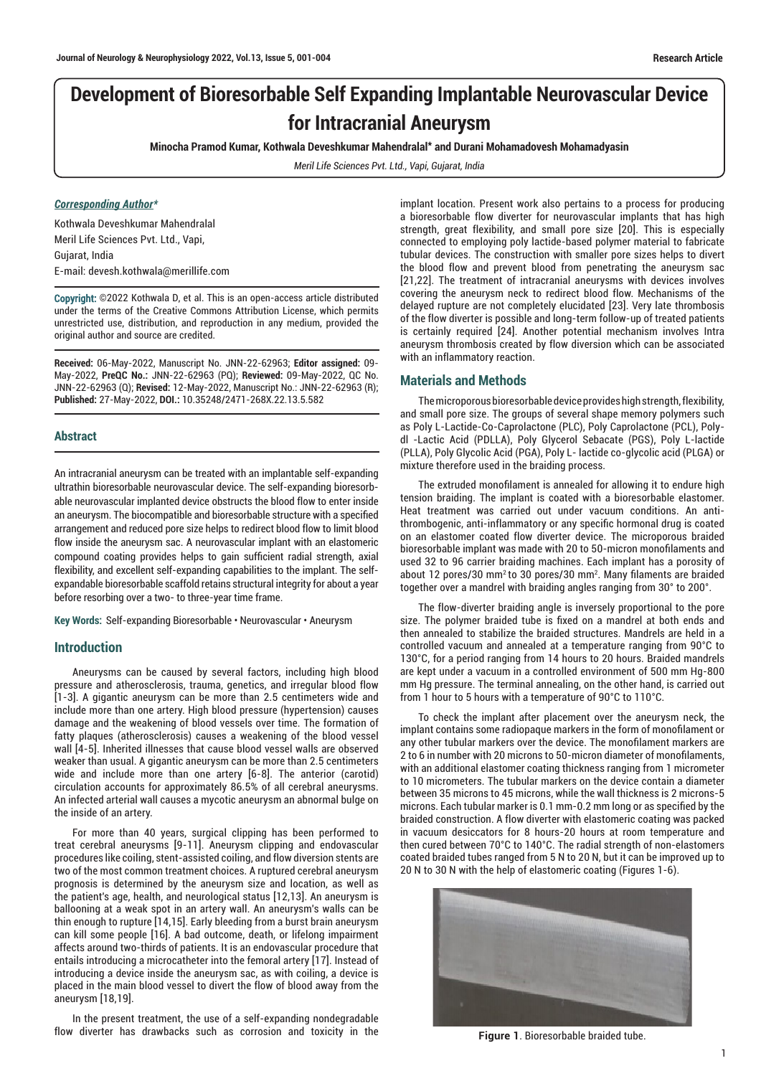# **Development of Bioresorbable Self Expanding Implantable Neurovascular Device for Intracranial Aneurysm**

**Minocha Pramod Kumar, Kothwala Deveshkumar Mahendralal\* and Durani Mohamadovesh Mohamadyasin**

*Meril Life Sciences Pvt. Ltd., Vapi, Gujarat, India*

#### *Corresponding Author\**

Kothwala Deveshkumar Mahendralal Meril Life Sciences Pvt. Ltd., Vapi, Gujarat, India E-mail: devesh.kothwala@merillife.com

Copyright: ©2022 Kothwala D, et al. This is an open-access article distributed under the terms of the Creative Commons Attribution License, which permits unrestricted use, distribution, and reproduction in any medium, provided the original author and source are credited.

**Received:** 06-May-2022, Manuscript No. JNN-22-62963; **Editor assigned:** 09- May-2022, **PreQC No.:** JNN-22-62963 (PQ); **Reviewed:** 09-May-2022, QC No. JNN-22-62963 (Q); **Revised:** 12-May-2022, Manuscript No.: JNN-22-62963 (R); **Published:** 27-May-2022, **DOI.:** 10.35248/2471-268X.22.13.5.582

#### **Abstract**

An intracranial aneurysm can be treated with an implantable self-expanding ultrathin bioresorbable neurovascular device. The self-expanding bioresorbable neurovascular implanted device obstructs the blood flow to enter inside an aneurysm. The biocompatible and bioresorbable structure with a specified arrangement and reduced pore size helps to redirect blood flow to limit blood flow inside the aneurysm sac. A neurovascular implant with an elastomeric compound coating provides helps to gain sufficient radial strength, axial flexibility, and excellent self-expanding capabilities to the implant. The selfexpandable bioresorbable scaffold retains structural integrity for about a year before resorbing over a two- to three-year time frame.

**Key Words:** Self-expanding Bioresorbable • Neurovascular • Aneurysm

#### **Introduction**

Aneurysms can be caused by several factors, including high blood pressure and atherosclerosis, trauma, genetics, and irregular blood flow [1-3]. A gigantic aneurysm can be more than 2.5 centimeters wide and include more than one artery. High blood pressure (hypertension) causes damage and the weakening of blood vessels over time. The formation of fatty plaques (atherosclerosis) causes a weakening of the blood vessel wall [4-5]. Inherited illnesses that cause blood vessel walls are observed weaker than usual. A gigantic aneurysm can be more than 2.5 centimeters wide and include more than one artery [6-8]. The anterior (carotid) circulation accounts for approximately 86.5% of all cerebral aneurysms. An infected arterial wall causes a mycotic aneurysm an abnormal bulge on the inside of an artery.

For more than 40 years, surgical clipping has been performed to treat cerebral aneurysms [9-11]. Aneurysm clipping and endovascular procedures like coiling, stent-assisted coiling, and flow diversion stents are two of the most common treatment choices. A ruptured cerebral aneurysm prognosis is determined by the aneurysm size and location, as well as the patient's age, health, and neurological status [12,13]. An aneurysm is ballooning at a weak spot in an artery wall. An aneurysm's walls can be thin enough to rupture [14,15]. Early bleeding from a burst brain aneurysm can kill some people [16]. A bad outcome, death, or lifelong impairment affects around two-thirds of patients. It is an endovascular procedure that entails introducing a microcatheter into the femoral artery [17]. Instead of introducing a device inside the aneurysm sac, as with coiling, a device is placed in the main blood vessel to divert the flow of blood away from the aneurysm [18,19].

In the present treatment, the use of a self-expanding nondegradable flow diverter has drawbacks such as corrosion and toxicity in the implant location. Present work also pertains to a process for producing a bioresorbable flow diverter for neurovascular implants that has high strength, great flexibility, and small pore size [20]. This is especially connected to employing poly lactide-based polymer material to fabricate tubular devices. The construction with smaller pore sizes helps to divert the blood flow and prevent blood from penetrating the aneurysm sac [21,22]. The treatment of intracranial aneurysms with devices involves covering the aneurysm neck to redirect blood flow. Mechanisms of the delayed rupture are not completely elucidated [23]. Very late thrombosis of the flow diverter is possible and long-term follow-up of treated patients is certainly required [24]. Another potential mechanism involves Intra aneurysm thrombosis created by flow diversion which can be associated with an inflammatory reaction.

#### **Materials and Methods**

The microporous bioresorbable device provides high strength, flexibility, and small pore size. The groups of several shape memory polymers such as Poly L-Lactide-Co-Caprolactone (PLC), Poly Caprolactone (PCL), Polydl -Lactic Acid (PDLLA), Poly Glycerol Sebacate (PGS), Poly L-lactide (PLLA), Poly Glycolic Acid (PGA), Poly L- lactide co-glycolic acid (PLGA) or mixture therefore used in the braiding process.

The extruded monofilament is annealed for allowing it to endure high tension braiding. The implant is coated with a bioresorbable elastomer. Heat treatment was carried out under vacuum conditions. An antithrombogenic, anti-inflammatory or any specific hormonal drug is coated on an elastomer coated flow diverter device. The microporous braided bioresorbable implant was made with 20 to 50-micron monofilaments and used 32 to 96 carrier braiding machines. Each implant has a porosity of about 12 pores/30 mm<sup>2</sup> to 30 pores/30 mm<sup>2</sup>. Many filaments are braided together over a mandrel with braiding angles ranging from 30° to 200°.

The flow-diverter braiding angle is inversely proportional to the pore size. The polymer braided tube is fixed on a mandrel at both ends and then annealed to stabilize the braided structures. Mandrels are held in a controlled vacuum and annealed at a temperature ranging from 90°C to 130°C, for a period ranging from 14 hours to 20 hours. Braided mandrels are kept under a vacuum in a controlled environment of 500 mm Hg-800 mm Hg pressure. The terminal annealing, on the other hand, is carried out from 1 hour to 5 hours with a temperature of 90°C to 110°C.

To check the implant after placement over the aneurysm neck, the implant contains some radiopaque markers in the form of monofilament or any other tubular markers over the device. The monofilament markers are 2 to 6 in number with 20 microns to 50-micron diameter of monofilaments, with an additional elastomer coating thickness ranging from 1 micrometer to 10 micrometers. The tubular markers on the device contain a diameter between 35 microns to 45 microns, while the wall thickness is 2 microns-5 microns. Each tubular marker is 0.1 mm-0.2 mm long or as specified by the braided construction. A flow diverter with elastomeric coating was packed in vacuum desiccators for 8 hours-20 hours at room temperature and then cured between 70°C to 140°C. The radial strength of non-elastomers coated braided tubes ranged from 5 N to 20 N, but it can be improved up to 20 N to 30 N with the help of elastomeric coating (Figures 1-6).



**Figure 1**. Bioresorbable braided tube.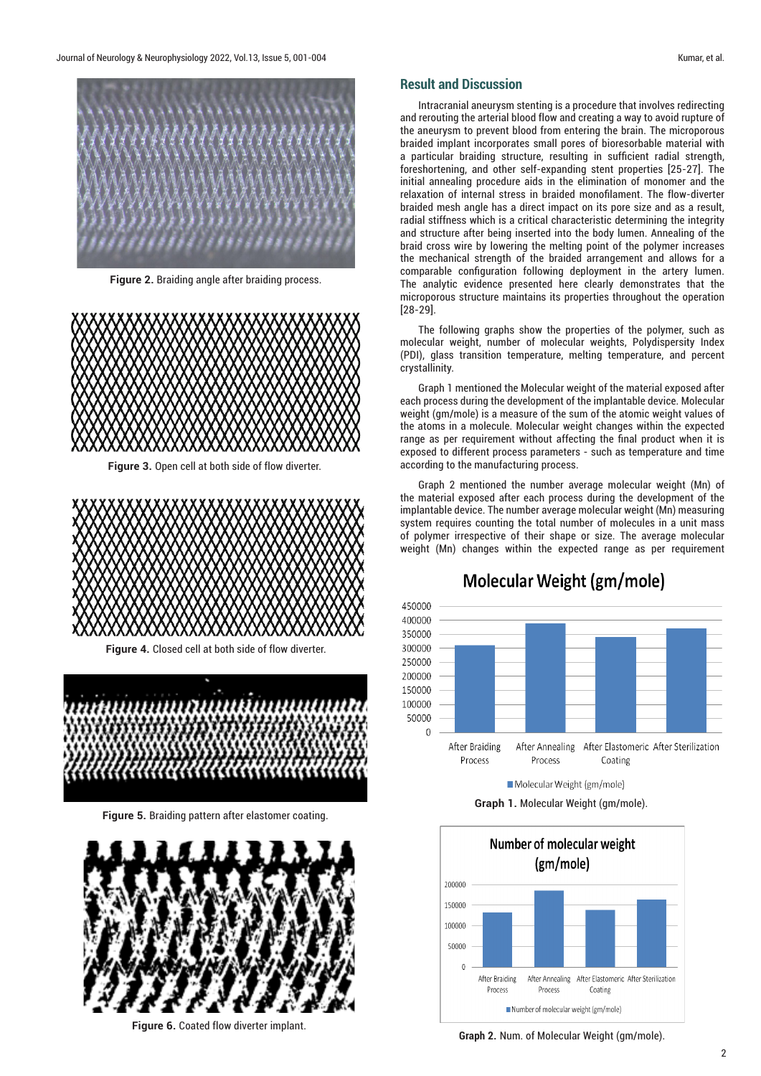

**Figure 2.** Braiding angle after braiding process.



**Figure 3.** Open cell at both side of flow diverter.



**Figure 4.** Closed cell at both side of flow diverter.



**Figure 5.** Braiding pattern after elastomer coating.



**Figure 6.** Coated flow diverter implant.

### **Result and Discussion**

Intracranial aneurysm stenting is a procedure that involves redirecting and rerouting the arterial blood flow and creating a way to avoid rupture of the aneurysm to prevent blood from entering the brain. The microporous braided implant incorporates small pores of bioresorbable material with a particular braiding structure, resulting in sufficient radial strength, foreshortening, and other self-expanding stent properties [25-27]. The initial annealing procedure aids in the elimination of monomer and the relaxation of internal stress in braided monofilament. The flow-diverter braided mesh angle has a direct impact on its pore size and as a result, radial stiffness which is a critical characteristic determining the integrity and structure after being inserted into the body lumen. Annealing of the braid cross wire by lowering the melting point of the polymer increases the mechanical strength of the braided arrangement and allows for a comparable configuration following deployment in the artery lumen. The analytic evidence presented here clearly demonstrates that the microporous structure maintains its properties throughout the operation [28-29].

The following graphs show the properties of the polymer, such as molecular weight, number of molecular weights, Polydispersity Index (PDI), glass transition temperature, melting temperature, and percent crystallinity.

Graph 1 mentioned the Molecular weight of the material exposed after each process during the development of the implantable device. Molecular weight (gm/mole) is a measure of the sum of the [atomic weight](https://www.thoughtco.com/definition-of-atomic-weight-604378) values of the [atoms](https://www.thoughtco.com/definition-of-atom-and-examples-604373) in a [molecule.](https://www.thoughtco.com/what-is-a-molecule-definition-examples-608506) Molecular weight changes within the expected range as per requirement without affecting the final product when it is exposed to different process parameters - such as temperature and time according to the manufacturing process.

Graph 2 mentioned the number average molecular weight (Mn) of the material exposed after each process during the development of the implantable device. The number average molecular weight (Mn) measuring system requires counting the total number of molecules in a unit mass of polymer irrespective of their shape or size. The average molecular weight (Mn) changes within the expected range as per requirement



## **Molecular Weight (gm/mole)**

Molecular Weight (gm/mole)

**Graph 1.** Molecular Weight (gm/mole).



**Graph 2.** Num. of Molecular Weight (gm/mole).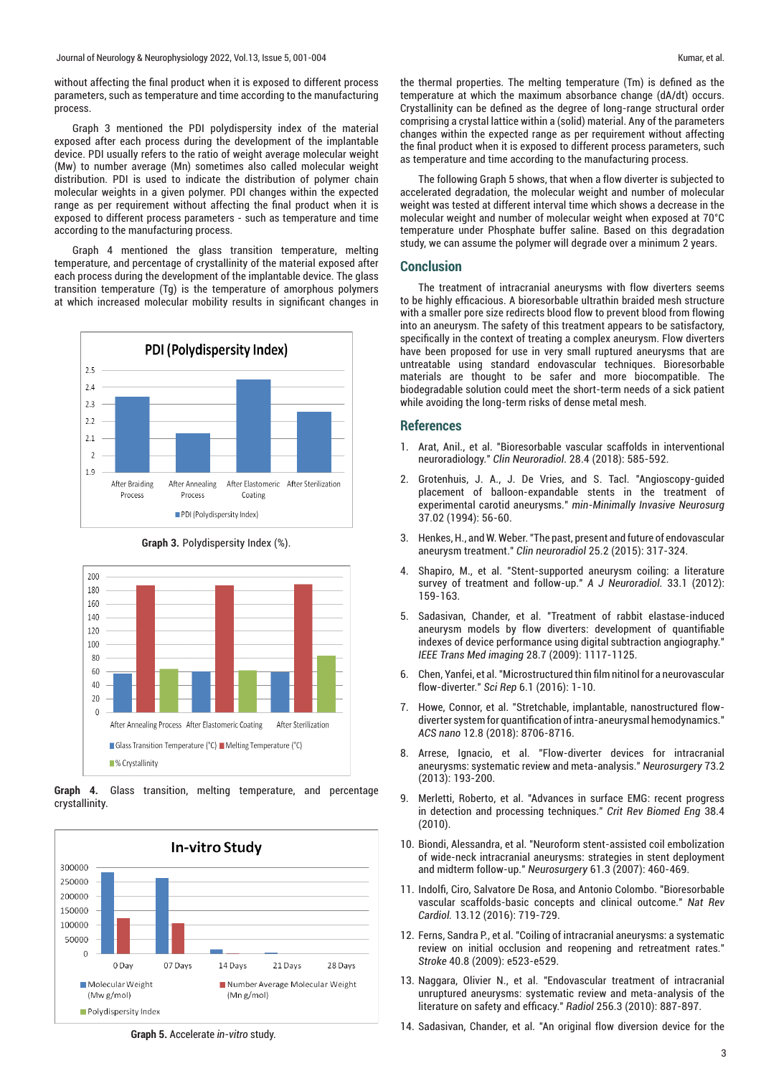without affecting the final product when it is exposed to different process parameters, such as temperature and time according to the manufacturing process.

Graph 3 mentioned the PDI polydispersity index of the material exposed after each process during the development of the implantable device. PDI usually refers to the ratio of weight average molecular weight (Mw) to number average (Mn) sometimes also called molecular weight distribution. PDI is used to indicate the distribution of polymer chain molecular weights in a given polymer. PDI changes within the expected range as per requirement without affecting the final product when it is exposed to different process parameters - such as temperature and time according to the manufacturing process.

Graph 4 mentioned the glass transition temperature, melting temperature, and percentage of crystallinity of the material exposed after each process during the development of the implantable device. The glass transition temperature (Tg) is the temperature of amorphous polymers at which increased molecular mobility results in significant changes in



**Graph 3.** Polydispersity Index (%).



**Graph 4.** Glass transition, melting temperature, and percentage crystallinity.



**Graph 5.** Accelerate *in-vitro* study.

the thermal properties. The melting temperature (Tm) is defined as the temperature at which the maximum absorbance change (dA/dt) occurs. Crystallinity can be defined as the degree of long-range structural order comprising a crystal lattice within a (solid) material. Any of the parameters changes within the expected range as per requirement without affecting the final product when it is exposed to different process parameters, such as temperature and time according to the manufacturing process.

The following Graph 5 shows, that when a flow diverter is subjected to accelerated degradation, the molecular weight and number of molecular weight was tested at different interval time which shows a decrease in the molecular weight and number of molecular weight when exposed at 70°C temperature under Phosphate buffer saline. Based on this degradation study, we can assume the polymer will degrade over a minimum 2 years.

#### **Conclusion**

The treatment of intracranial aneurysms with flow diverters seems to be highly efficacious. A bioresorbable ultrathin braided mesh structure with a smaller pore size redirects blood flow to prevent blood from flowing into an aneurysm. The safety of this treatment appears to be satisfactory, specifically in the context of treating a complex aneurysm. Flow diverters have been proposed for use in very small ruptured aneurysms that are untreatable using standard endovascular techniques. Bioresorbable materials are thought to be safer and more biocompatible. The biodegradable solution could meet the short-term needs of a sick patient while avoiding the long-term risks of dense metal mesh.

#### **References**

- 1. Arat, Anil., et al. ["Bioresorbable vascular scaffolds in interventional](https://link.springer.com/article/10.1007/s00062-017-0609-5)  [neuroradiology."](https://link.springer.com/article/10.1007/s00062-017-0609-5) *Clin Neuroradiol*. 28.4 (2018): 585-592.
- 2. Grotenhuis, J. A., J. De Vries, and S. Tacl. ["Angioscopy-guided](https://www.thieme-connect.com/products/ejournals/abstract/10.1055/s-2008-1053450)  [placement of balloon-expandable stents in the treatment of](https://www.thieme-connect.com/products/ejournals/abstract/10.1055/s-2008-1053450)  [experimental carotid aneurysms."](https://www.thieme-connect.com/products/ejournals/abstract/10.1055/s-2008-1053450) *min-Minimally Invasive Neurosurg* 37.02 (1994): 56-60.
- 3. Henkes, H., and W. Weber. ["The past, present and future of endovascular](https://link.springer.com/article/10.1007/s00062-015-0403-1)  [aneurysm treatment."](https://link.springer.com/article/10.1007/s00062-015-0403-1) *Clin neuroradiol* 25.2 (2015): 317-324.
- 4. Shapiro, M., et al. ["Stent-supported aneurysm coiling: a literature](http://www.ajnr.org/content/33/1/159.short)  [survey of treatment and follow-up."](http://www.ajnr.org/content/33/1/159.short) *A J Neuroradiol.* 33.1 (2012): 159-163.
- 5. Sadasivan, Chander, et al. ["Treatment of rabbit elastase-induced](https://ieeexplore.ieee.org/abstract/document/4752726)  [aneurysm models by flow diverters: development of quantifiable](https://ieeexplore.ieee.org/abstract/document/4752726)  [indexes of device performance using digital subtraction angiography."](https://ieeexplore.ieee.org/abstract/document/4752726) *IEEE Trans Med imaging* 28.7 (2009): 1117-1125.
- 6. Chen, Yanfei, et al. ["Microstructured thin film nitinol for a neurovascular](https://www.nature.com/articles/srep23698)  [flow-diverter."](https://www.nature.com/articles/srep23698) *Sci Rep* 6.1 (2016): 1-10.
- 7. Howe, Connor, et al. ["Stretchable, implantable, nanostructured flow](https://pubs.acs.org/doi/abs/10.1021/acsnano.8b04689)[diverter system for quantification of intra-aneurysmal hemodynamics."](https://pubs.acs.org/doi/abs/10.1021/acsnano.8b04689) *ACS nano* 12.8 (2018): 8706-8716.
- Arrese, Ignacio, et al. "Flow-diverter devices for intracranial [aneurysms: systematic review and meta-analysis."](https://journals.lww.com/neurosurgery/pages/default.aspx) *Neurosurgery* 73.2 (2013): 193-200.
- 9. Merletti, Roberto, et al. ["Advances in surface EMG: recent progress](https://www.dl.begellhouse.com/journals/4b27cbfc562e21b8,606681d65e2ccb94,45714f720ecf76f5.html)  [in detection and processing techniques."](https://www.dl.begellhouse.com/journals/4b27cbfc562e21b8,606681d65e2ccb94,45714f720ecf76f5.html) *Crit Rev Biomed Eng* 38.4 (2010).
- 10. Biondi, Alessandra, et al. ["Neuroform stent-assisted coil embolization](https://journals.lww.com/neurosurgery/pages/default.aspx)  [of wide-neck intracranial aneurysms: strategies in stent deployment](https://journals.lww.com/neurosurgery/pages/default.aspx)  [and midterm follow-up."](https://journals.lww.com/neurosurgery/pages/default.aspx) *Neurosurgery* 61.3 (2007): 460-469.
- 11. Indolfi, Ciro, Salvatore De Rosa, and Antonio Colombo. ["Bioresorbable](https://www.nature.com/articles/nrcardio.2016.151)  [vascular scaffolds-basic concepts and clinical outcome."](https://www.nature.com/articles/nrcardio.2016.151) *Nat Rev Cardiol.* 13.12 (2016): 719-729.
- 12. Ferns, Sandra P., et al. ["Coiling of intracranial aneurysms: a systematic](https://www.ahajournals.org/doi/full/10.1161/STROKEAHA.109.553099)  [review on initial occlusion and reopening and retreatment rates."](https://www.ahajournals.org/doi/full/10.1161/STROKEAHA.109.553099) *Stroke* 40.8 (2009): e523-e529.
- 13. Naggara, Olivier N., et al. ["Endovascular treatment of intracranial](https://pubs.rsna.org/doi/abs/10.1148/radiol.10091982)  [unruptured aneurysms: systematic review and meta-analysis of the](https://pubs.rsna.org/doi/abs/10.1148/radiol.10091982)  [literature on safety and efficacy."](https://pubs.rsna.org/doi/abs/10.1148/radiol.10091982) *Radiol* 256.3 (2010): 887-897.
- 14. Sadasivan, Chander, et al. ["An original flow diversion device for the](https://www.ahajournals.org/doi/full/10.1161/STROKEAHA.108.533760)